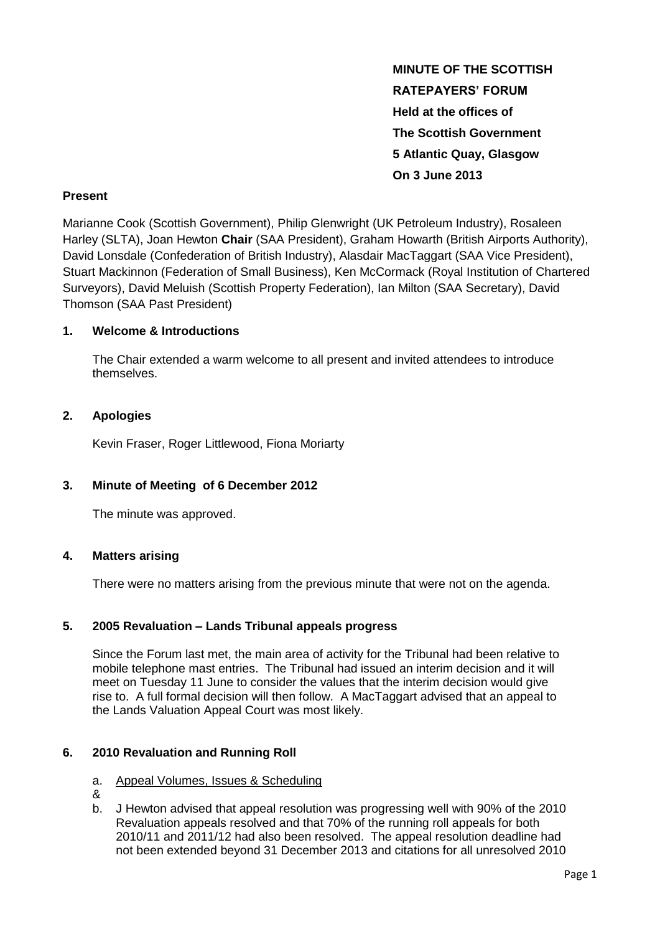**MINUTE OF THE SCOTTISH RATEPAYERS' FORUM Held at the offices of The Scottish Government 5 Atlantic Quay, Glasgow On 3 June 2013**

### **Present**

Marianne Cook (Scottish Government), Philip Glenwright (UK Petroleum Industry), Rosaleen Harley (SLTA), Joan Hewton **Chair** (SAA President), Graham Howarth (British Airports Authority), David Lonsdale (Confederation of British Industry), Alasdair MacTaggart (SAA Vice President), Stuart Mackinnon (Federation of Small Business), Ken McCormack (Royal Institution of Chartered Surveyors), David Meluish (Scottish Property Federation), Ian Milton (SAA Secretary), David Thomson (SAA Past President)

### **1. Welcome & Introductions**

The Chair extended a warm welcome to all present and invited attendees to introduce themselves.

### **2. Apologies**

Kevin Fraser, Roger Littlewood, Fiona Moriarty

## **3. Minute of Meeting of 6 December 2012**

The minute was approved.

## **4. Matters arising**

There were no matters arising from the previous minute that were not on the agenda.

## **5. 2005 Revaluation – Lands Tribunal appeals progress**

Since the Forum last met, the main area of activity for the Tribunal had been relative to mobile telephone mast entries. The Tribunal had issued an interim decision and it will meet on Tuesday 11 June to consider the values that the interim decision would give rise to. A full formal decision will then follow. A MacTaggart advised that an appeal to the Lands Valuation Appeal Court was most likely.

## **6. 2010 Revaluation and Running Roll**

#### a. Appeal Volumes, Issues & Scheduling

- &
- b. J Hewton advised that appeal resolution was progressing well with 90% of the 2010 Revaluation appeals resolved and that 70% of the running roll appeals for both 2010/11 and 2011/12 had also been resolved. The appeal resolution deadline had not been extended beyond 31 December 2013 and citations for all unresolved 2010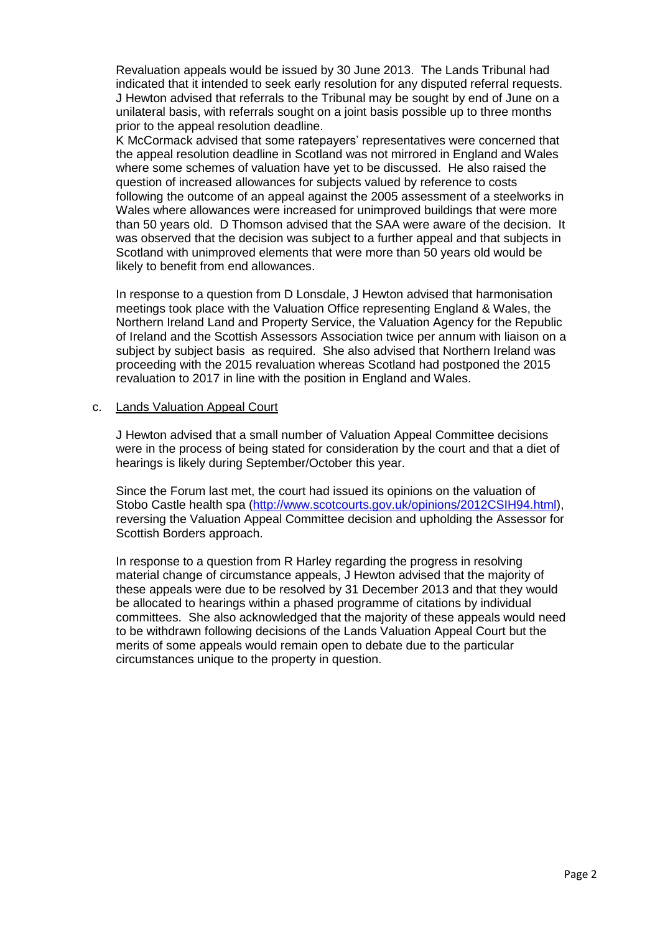Revaluation appeals would be issued by 30 June 2013. The Lands Tribunal had indicated that it intended to seek early resolution for any disputed referral requests. J Hewton advised that referrals to the Tribunal may be sought by end of June on a unilateral basis, with referrals sought on a joint basis possible up to three months prior to the appeal resolution deadline.

K McCormack advised that some ratepayers' representatives were concerned that the appeal resolution deadline in Scotland was not mirrored in England and Wales where some schemes of valuation have yet to be discussed. He also raised the question of increased allowances for subjects valued by reference to costs following the outcome of an appeal against the 2005 assessment of a steelworks in Wales where allowances were increased for unimproved buildings that were more than 50 years old. D Thomson advised that the SAA were aware of the decision. It was observed that the decision was subject to a further appeal and that subjects in Scotland with unimproved elements that were more than 50 years old would be likely to benefit from end allowances.

In response to a question from D Lonsdale, J Hewton advised that harmonisation meetings took place with the Valuation Office representing England & Wales, the Northern Ireland Land and Property Service, the Valuation Agency for the Republic of Ireland and the Scottish Assessors Association twice per annum with liaison on a subject by subject basis as required. She also advised that Northern Ireland was proceeding with the 2015 revaluation whereas Scotland had postponed the 2015 revaluation to 2017 in line with the position in England and Wales.

#### c. Lands Valuation Appeal Court

J Hewton advised that a small number of Valuation Appeal Committee decisions were in the process of being stated for consideration by the court and that a diet of hearings is likely during September/October this year.

Since the Forum last met, the court had issued its opinions on the valuation of Stobo Castle health spa [\(http://www.scotcourts.gov.uk/opinions/2012CSIH94.html\)](http://www.scotcourts.gov.uk/opinions/2012CSIH94.html), reversing the Valuation Appeal Committee decision and upholding the Assessor for Scottish Borders approach.

In response to a question from R Harley regarding the progress in resolving material change of circumstance appeals, J Hewton advised that the majority of these appeals were due to be resolved by 31 December 2013 and that they would be allocated to hearings within a phased programme of citations by individual committees. She also acknowledged that the majority of these appeals would need to be withdrawn following decisions of the Lands Valuation Appeal Court but the merits of some appeals would remain open to debate due to the particular circumstances unique to the property in question.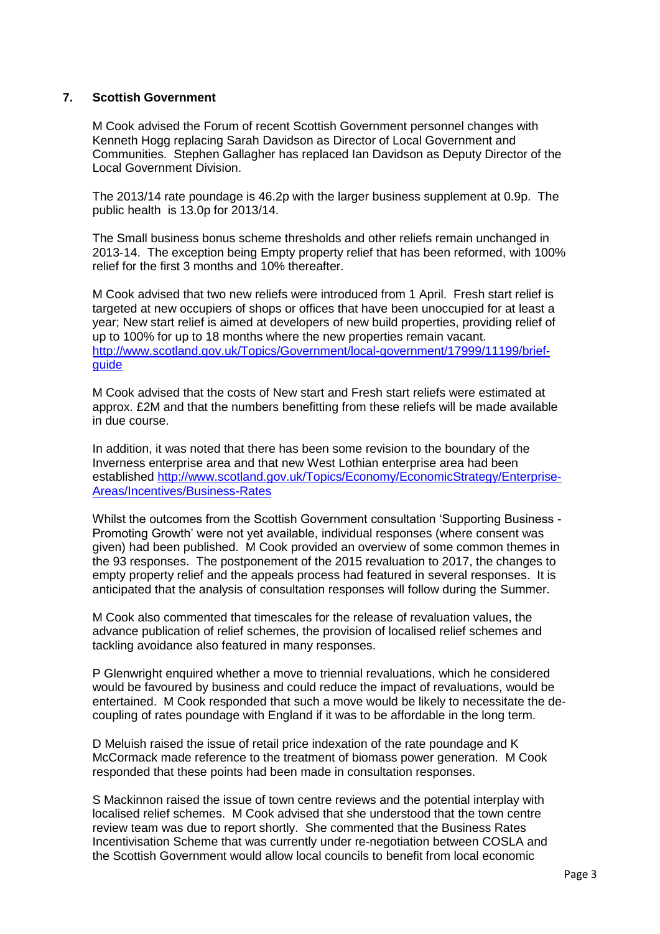## **7. Scottish Government**

M Cook advised the Forum of recent Scottish Government personnel changes with Kenneth Hogg replacing Sarah Davidson as Director of Local Government and Communities. Stephen Gallagher has replaced Ian Davidson as Deputy Director of the Local Government Division.

The 2013/14 rate poundage is 46.2p with the larger business supplement at 0.9p. The public health is 13.0p for 2013/14.

The Small business bonus scheme thresholds and other reliefs remain unchanged in 2013-14. The exception being Empty property relief that has been reformed, with 100% relief for the first 3 months and 10% thereafter.

M Cook advised that two new reliefs were introduced from 1 April. Fresh start relief is targeted at new occupiers of shops or offices that have been unoccupied for at least a year; New start relief is aimed at developers of new build properties, providing relief of up to 100% for up to 18 months where the new properties remain vacant. [http://www.scotland.gov.uk/Topics/Government/local-government/17999/11199/brief](http://www.scotland.gov.uk/Topics/Government/local-government/17999/11199/brief-guide)[guide](http://www.scotland.gov.uk/Topics/Government/local-government/17999/11199/brief-guide)

M Cook advised that the costs of New start and Fresh start reliefs were estimated at approx. £2M and that the numbers benefitting from these reliefs will be made available in due course.

In addition, it was noted that there has been some revision to the boundary of the Inverness enterprise area and that new West Lothian enterprise area had been established [http://www.scotland.gov.uk/Topics/Economy/EconomicStrategy/Enterprise-](http://www.scotland.gov.uk/Topics/Economy/EconomicStrategy/Enterprise-Areas/Incentives/Business-Rates)[Areas/Incentives/Business-Rates](http://www.scotland.gov.uk/Topics/Economy/EconomicStrategy/Enterprise-Areas/Incentives/Business-Rates)

Whilst the outcomes from the Scottish Government consultation 'Supporting Business - Promoting Growth' were not yet available, individual responses (where consent was given) had been published. M Cook provided an overview of some common themes in the 93 responses. The postponement of the 2015 revaluation to 2017, the changes to empty property relief and the appeals process had featured in several responses. It is anticipated that the analysis of consultation responses will follow during the Summer.

M Cook also commented that timescales for the release of revaluation values, the advance publication of relief schemes, the provision of localised relief schemes and tackling avoidance also featured in many responses.

P Glenwright enquired whether a move to triennial revaluations, which he considered would be favoured by business and could reduce the impact of revaluations, would be entertained. M Cook responded that such a move would be likely to necessitate the decoupling of rates poundage with England if it was to be affordable in the long term.

D Meluish raised the issue of retail price indexation of the rate poundage and K McCormack made reference to the treatment of biomass power generation. M Cook responded that these points had been made in consultation responses.

S Mackinnon raised the issue of town centre reviews and the potential interplay with localised relief schemes. M Cook advised that she understood that the town centre review team was due to report shortly. She commented that the Business Rates Incentivisation Scheme that was currently under re-negotiation between COSLA and the Scottish Government would allow local councils to benefit from local economic